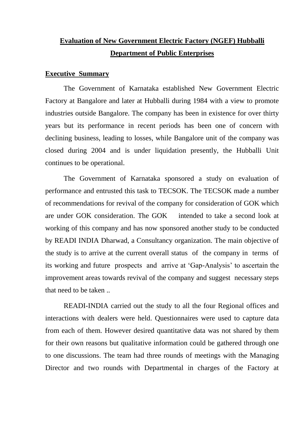# **Evaluation of New Government Electric Factory (NGEF) Hubballi Department of Public Enterprises**

#### **Executive Summary**

The Government of Karnataka established New Government Electric Factory at Bangalore and later at Hubballi during 1984 with a view to promote industries outside Bangalore. The company has been in existence for over thirty years but its performance in recent periods has been one of concern with declining business, leading to losses, while Bangalore unit of the company was closed during 2004 and is under liquidation presently, the Hubballi Unit continues to be operational.

The Government of Karnataka sponsored a study on evaluation of performance and entrusted this task to TECSOK. The TECSOK made a number of recommendations for revival of the company for consideration of GOK which are under GOK consideration. The GOK intended to take a second look at working of this company and has now sponsored another study to be conducted by READI INDIA Dharwad, a Consultancy organization. The main objective of the study is to arrive at the current overall status of the company in terms of its working and future prospects and arrive at 'Gap-Analysis' to ascertain the improvement areas towards revival of the company and suggest necessary steps that need to be taken ..

READI-INDIA carried out the study to all the four Regional offices and interactions with dealers were held. Questionnaires were used to capture data from each of them. However desired quantitative data was not shared by them for their own reasons but qualitative information could be gathered through one to one discussions. The team had three rounds of meetings with the Managing Director and two rounds with Departmental in charges of the Factory at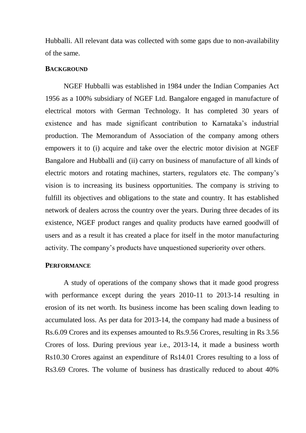Hubballi. All relevant data was collected with some gaps due to non-availability of the same.

#### **BACKGROUND**

NGEF Hubballi was established in 1984 under the Indian Companies Act 1956 as a 100% subsidiary of NGEF Ltd. Bangalore engaged in manufacture of electrical motors with German Technology. It has completed 30 years of existence and has made significant contribution to Karnataka's industrial production. The Memorandum of Association of the company among others empowers it to (i) acquire and take over the electric motor division at NGEF Bangalore and Hubballi and (ii) carry on business of manufacture of all kinds of electric motors and rotating machines, starters, regulators etc. The company's vision is to increasing its business opportunities. The company is striving to fulfill its objectives and obligations to the state and country. It has established network of dealers across the country over the years. During three decades of its existence, NGEF product ranges and quality products have earned goodwill of users and as a result it has created a place for itself in the motor manufacturing activity. The company's products have unquestioned superiority over others.

#### **PERFORMANCE**

A study of operations of the company shows that it made good progress with performance except during the years 2010-11 to 2013-14 resulting in erosion of its net worth. Its business income has been scaling down leading to accumulated loss. As per data for 2013-14, the company had made a business of Rs.6.09 Crores and its expenses amounted to Rs.9.56 Crores, resulting in Rs 3.56 Crores of loss. During previous year i.e., 2013-14, it made a business worth Rs10.30 Crores against an expenditure of Rs14.01 Crores resulting to a loss of Rs3.69 Crores. The volume of business has drastically reduced to about 40%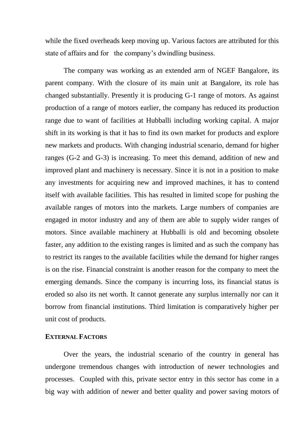while the fixed overheads keep moving up. Various factors are attributed for this state of affairs and for the company's dwindling business.

The company was working as an extended arm of NGEF Bangalore, its parent company. With the closure of its main unit at Bangalore, its role has changed substantially. Presently it is producing G-1 range of motors. As against production of a range of motors earlier, the company has reduced its production range due to want of facilities at Hubballi including working capital. A major shift in its working is that it has to find its own market for products and explore new markets and products. With changing industrial scenario, demand for higher ranges (G-2 and G-3) is increasing. To meet this demand, addition of new and improved plant and machinery is necessary. Since it is not in a position to make any investments for acquiring new and improved machines, it has to contend itself with available facilities. This has resulted in limited scope for pushing the available ranges of motors into the markets. Large numbers of companies are engaged in motor industry and any of them are able to supply wider ranges of motors. Since available machinery at Hubballi is old and becoming obsolete faster, any addition to the existing ranges is limited and as such the company has to restrict its ranges to the available facilities while the demand for higher ranges is on the rise. Financial constraint is another reason for the company to meet the emerging demands. Since the company is incurring loss, its financial status is eroded so also its net worth. It cannot generate any surplus internally nor can it borrow from financial institutions. Third limitation is comparatively higher per unit cost of products.

# **EXTERNAL FACTORS**

Over the years, the industrial scenario of the country in general has undergone tremendous changes with introduction of newer technologies and processes. Coupled with this, private sector entry in this sector has come in a big way with addition of newer and better quality and power saving motors of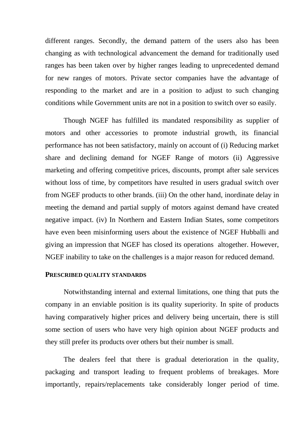different ranges. Secondly, the demand pattern of the users also has been changing as with technological advancement the demand for traditionally used ranges has been taken over by higher ranges leading to unprecedented demand for new ranges of motors. Private sector companies have the advantage of responding to the market and are in a position to adjust to such changing conditions while Government units are not in a position to switch over so easily.

Though NGEF has fulfilled its mandated responsibility as supplier of motors and other accessories to promote industrial growth, its financial performance has not been satisfactory, mainly on account of (i) Reducing market share and declining demand for NGEF Range of motors (ii) Aggressive marketing and offering competitive prices, discounts, prompt after sale services without loss of time, by competitors have resulted in users gradual switch over from NGEF products to other brands. (iii) On the other hand, inordinate delay in meeting the demand and partial supply of motors against demand have created negative impact. (iv) In Northern and Eastern Indian States, some competitors have even been misinforming users about the existence of NGEF Hubballi and giving an impression that NGEF has closed its operations altogether. However, NGEF inability to take on the challenges is a major reason for reduced demand.

#### **PRESCRIBED QUALITY STANDARDS**

Notwithstanding internal and external limitations, one thing that puts the company in an enviable position is its quality superiority. In spite of products having comparatively higher prices and delivery being uncertain, there is still some section of users who have very high opinion about NGEF products and they still prefer its products over others but their number is small.

The dealers feel that there is gradual deterioration in the quality, packaging and transport leading to frequent problems of breakages. More importantly, repairs/replacements take considerably longer period of time.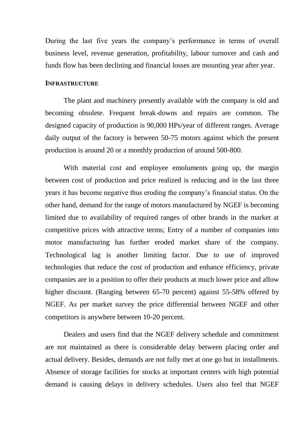During the last five years the company's performance in terms of overall business level, revenue generation, profitability, labour turnover and cash and funds flow has been declining and financial losses are mounting year after year.

#### **INFRASTRUCTURE**

The plant and machinery presently available with the company is old and becoming obsolete. Frequent break-downs and repairs are common. The designed capacity of production is 90,000 HPs/year of different ranges. Average daily output of the factory is between 50-75 motors against which the present production is around 20 or a monthly production of around 500-800.

With material cost and employee emoluments going up, the margin between cost of production and price realized is reducing and in the last three years it has become negative thus eroding the company's financial status. On the other hand, demand for the range of motors manufactured by NGEF is becoming limited due to availability of required ranges of other brands in the market at competitive prices with attractive terms; Entry of a number of companies into motor manufacturing has further eroded market share of the company. Technological lag is another limiting factor. Due to use of improved technologies that reduce the cost of production and enhance efficiency, private companies are in a position to offer their products at much lower price and allow higher discount. (Ranging between 65-70 percent) against 55-58% offered by NGEF. As per market survey the price differential between NGEF and other competitors is anywhere between 10-20 percent.

Dealers and users find that the NGEF delivery schedule and commitment are not maintained as there is considerable delay between placing order and actual delivery. Besides, demands are not fully met at one go but in installments. Absence of storage facilities for stocks at important centers with high potential demand is causing delays in delivery schedules. Users also feel that NGEF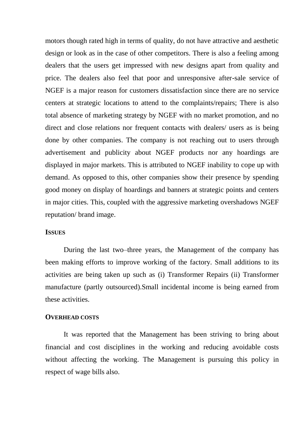motors though rated high in terms of quality, do not have attractive and aesthetic design or look as in the case of other competitors. There is also a feeling among dealers that the users get impressed with new designs apart from quality and price. The dealers also feel that poor and unresponsive after-sale service of NGEF is a major reason for customers dissatisfaction since there are no service centers at strategic locations to attend to the complaints/repairs; There is also total absence of marketing strategy by NGEF with no market promotion, and no direct and close relations nor frequent contacts with dealers/ users as is being done by other companies. The company is not reaching out to users through advertisement and publicity about NGEF products nor any hoardings are displayed in major markets. This is attributed to NGEF inability to cope up with demand. As opposed to this, other companies show their presence by spending good money on display of hoardings and banners at strategic points and centers in major cities. This, coupled with the aggressive marketing overshadows NGEF reputation/ brand image.

#### **ISSUES**

During the last two–three years, the Management of the company has been making efforts to improve working of the factory. Small additions to its activities are being taken up such as (i) Transformer Repairs (ii) Transformer manufacture (partly outsourced).Small incidental income is being earned from these activities.

#### **OVERHEAD COSTS**

It was reported that the Management has been striving to bring about financial and cost disciplines in the working and reducing avoidable costs without affecting the working. The Management is pursuing this policy in respect of wage bills also.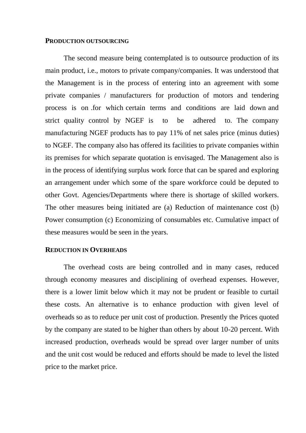# **PRODUCTION OUTSOURCING**

The second measure being contemplated is to outsource production of its main product, i.e., motors to private company/companies. It was understood that the Management is in the process of entering into an agreement with some private companies / manufacturers for production of motors and tendering process is on .for which certain terms and conditions are laid down and strict quality control by NGEF is to be adhered to. The company manufacturing NGEF products has to pay 11% of net sales price (minus duties) to NGEF. The company also has offered its facilities to private companies within its premises for which separate quotation is envisaged. The Management also is in the process of identifying surplus work force that can be spared and exploring an arrangement under which some of the spare workforce could be deputed to other Govt. Agencies/Departments where there is shortage of skilled workers. The other measures being initiated are (a) Reduction of maintenance cost (b) Power consumption (c) Economizing of consumables etc. Cumulative impact of these measures would be seen in the years.

#### **REDUCTION IN OVERHEADS**

The overhead costs are being controlled and in many cases, reduced through economy measures and disciplining of overhead expenses. However, there is a lower limit below which it may not be prudent or feasible to curtail these costs. An alternative is to enhance production with given level of overheads so as to reduce per unit cost of production. Presently the Prices quoted by the company are stated to be higher than others by about 10-20 percent. With increased production, overheads would be spread over larger number of units and the unit cost would be reduced and efforts should be made to level the listed price to the market price.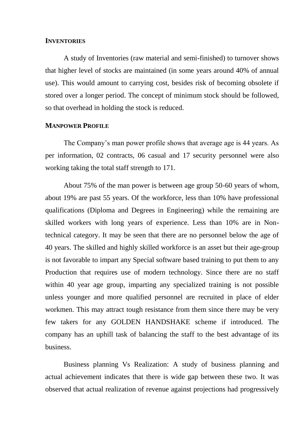#### **INVENTORIES**

A study of Inventories (raw material and semi-finished) to turnover shows that higher level of stocks are maintained (in some years around 40% of annual use). This would amount to carrying cost, besides risk of becoming obsolete if stored over a longer period. The concept of minimum stock should be followed, so that overhead in holding the stock is reduced.

# **MANPOWER PROFILE**

The Company's man power profile shows that average age is 44 years. As per information, 02 contracts, 06 casual and 17 security personnel were also working taking the total staff strength to 171.

About 75% of the man power is between age group 50-60 years of whom, about 19% are past 55 years. Of the workforce, less than 10% have professional qualifications (Diploma and Degrees in Engineering) while the remaining are skilled workers with long years of experience. Less than 10% are in Nontechnical category. It may be seen that there are no personnel below the age of 40 years. The skilled and highly skilled workforce is an asset but their age-group is not favorable to impart any Special software based training to put them to any Production that requires use of modern technology. Since there are no staff within 40 year age group, imparting any specialized training is not possible unless younger and more qualified personnel are recruited in place of elder workmen. This may attract tough resistance from them since there may be very few takers for any GOLDEN HANDSHAKE scheme if introduced. The company has an uphill task of balancing the staff to the best advantage of its business.

Business planning Vs Realization: A study of business planning and actual achievement indicates that there is wide gap between these two. It was observed that actual realization of revenue against projections had progressively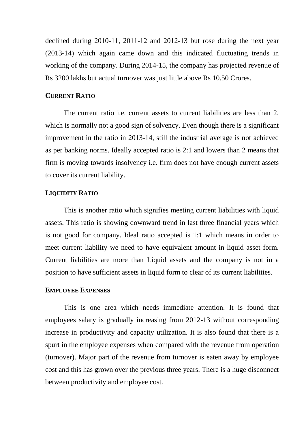declined during 2010-11, 2011-12 and 2012-13 but rose during the next year (2013-14) which again came down and this indicated fluctuating trends in working of the company. During 2014-15, the company has projected revenue of Rs 3200 lakhs but actual turnover was just little above Rs 10.50 Crores.

# **CURRENT RATIO**

The current ratio i.e. current assets to current liabilities are less than 2, which is normally not a good sign of solvency. Even though there is a significant improvement in the ratio in 2013-14, still the industrial average is not achieved as per banking norms. Ideally accepted ratio is 2:1 and lowers than 2 means that firm is moving towards insolvency i.e. firm does not have enough current assets to cover its current liability.

#### **LIQUIDITY RATIO**

This is another ratio which signifies meeting current liabilities with liquid assets. This ratio is showing downward trend in last three financial years which is not good for company. Ideal ratio accepted is 1:1 which means in order to meet current liability we need to have equivalent amount in liquid asset form. Current liabilities are more than Liquid assets and the company is not in a position to have sufficient assets in liquid form to clear of its current liabilities.

#### **EMPLOYEE EXPENSES**

This is one area which needs immediate attention. It is found that employees salary is gradually increasing from 2012-13 without corresponding increase in productivity and capacity utilization. It is also found that there is a spurt in the employee expenses when compared with the revenue from operation (turnover). Major part of the revenue from turnover is eaten away by employee cost and this has grown over the previous three years. There is a huge disconnect between productivity and employee cost.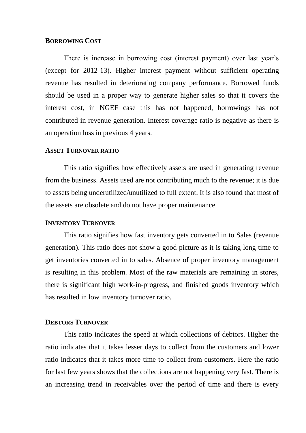#### **BORROWING COST**

There is increase in borrowing cost (interest payment) over last year's (except for 2012-13). Higher interest payment without sufficient operating revenue has resulted in deteriorating company performance. Borrowed funds should be used in a proper way to generate higher sales so that it covers the interest cost, in NGEF case this has not happened, borrowings has not contributed in revenue generation. Interest coverage ratio is negative as there is an operation loss in previous 4 years.

# **ASSET TURNOVER RATIO**

This ratio signifies how effectively assets are used in generating revenue from the business. Assets used are not contributing much to the revenue; it is due to assets being underutilized/unutilized to full extent. It is also found that most of the assets are obsolete and do not have proper maintenance

#### **INVENTORY TURNOVER**

This ratio signifies how fast inventory gets converted in to Sales (revenue generation). This ratio does not show a good picture as it is taking long time to get inventories converted in to sales. Absence of proper inventory management is resulting in this problem. Most of the raw materials are remaining in stores, there is significant high work-in-progress, and finished goods inventory which has resulted in low inventory turnover ratio.

#### **DEBTORS TURNOVER**

This ratio indicates the speed at which collections of debtors. Higher the ratio indicates that it takes lesser days to collect from the customers and lower ratio indicates that it takes more time to collect from customers. Here the ratio for last few years shows that the collections are not happening very fast. There is an increasing trend in receivables over the period of time and there is every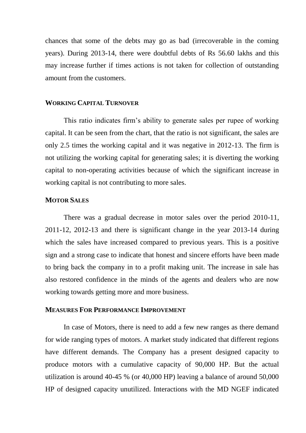chances that some of the debts may go as bad (irrecoverable in the coming years). During 2013-14, there were doubtful debts of Rs 56.60 lakhs and this may increase further if times actions is not taken for collection of outstanding amount from the customers.

#### **WORKING CAPITAL TURNOVER**

This ratio indicates firm's ability to generate sales per rupee of working capital. It can be seen from the chart, that the ratio is not significant, the sales are only 2.5 times the working capital and it was negative in 2012-13. The firm is not utilizing the working capital for generating sales; it is diverting the working capital to non-operating activities because of which the significant increase in working capital is not contributing to more sales.

# **MOTOR SALES**

There was a gradual decrease in motor sales over the period 2010-11, 2011-12, 2012-13 and there is significant change in the year 2013-14 during which the sales have increased compared to previous years. This is a positive sign and a strong case to indicate that honest and sincere efforts have been made to bring back the company in to a profit making unit. The increase in sale has also restored confidence in the minds of the agents and dealers who are now working towards getting more and more business.

#### **MEASURES FOR PERFORMANCE IMPROVEMENT**

In case of Motors, there is need to add a few new ranges as there demand for wide ranging types of motors. A market study indicated that different regions have different demands. The Company has a present designed capacity to produce motors with a cumulative capacity of 90,000 HP. But the actual utilization is around 40-45 % (or 40,000 HP) leaving a balance of around 50,000 HP of designed capacity unutilized. Interactions with the MD NGEF indicated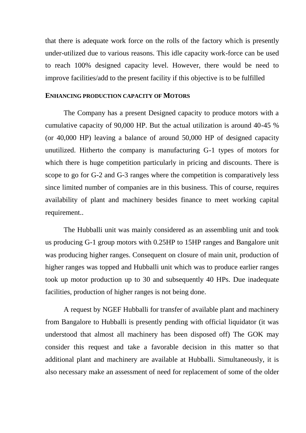that there is adequate work force on the rolls of the factory which is presently under-utilized due to various reasons. This idle capacity work-force can be used to reach 100% designed capacity level. However, there would be need to improve facilities/add to the present facility if this objective is to be fulfilled

#### **ENHANCING PRODUCTION CAPACITY OF MOTORS**

The Company has a present Designed capacity to produce motors with a cumulative capacity of 90,000 HP. But the actual utilization is around 40-45 % (or 40,000 HP) leaving a balance of around 50,000 HP of designed capacity unutilized. Hitherto the company is manufacturing G-1 types of motors for which there is huge competition particularly in pricing and discounts. There is scope to go for G-2 and G-3 ranges where the competition is comparatively less since limited number of companies are in this business. This of course, requires availability of plant and machinery besides finance to meet working capital requirement..

The Hubballi unit was mainly considered as an assembling unit and took us producing G-1 group motors with 0.25HP to 15HP ranges and Bangalore unit was producing higher ranges. Consequent on closure of main unit, production of higher ranges was topped and Hubballi unit which was to produce earlier ranges took up motor production up to 30 and subsequently 40 HPs. Due inadequate facilities, production of higher ranges is not being done.

A request by NGEF Hubballi for transfer of available plant and machinery from Bangalore to Hubballi is presently pending with official liquidator (it was understood that almost all machinery has been disposed off) The GOK may consider this request and take a favorable decision in this matter so that additional plant and machinery are available at Hubballi. Simultaneously, it is also necessary make an assessment of need for replacement of some of the older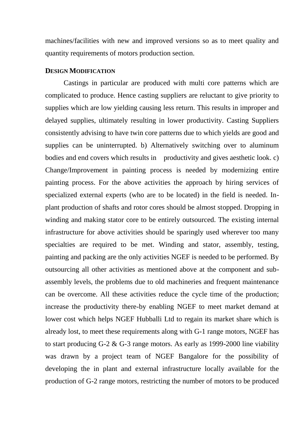machines/facilities with new and improved versions so as to meet quality and quantity requirements of motors production section.

# **DESIGN MODIFICATION**

Castings in particular are produced with multi core patterns which are complicated to produce. Hence casting suppliers are reluctant to give priority to supplies which are low yielding causing less return. This results in improper and delayed supplies, ultimately resulting in lower productivity. Casting Suppliers consistently advising to have twin core patterns due to which yields are good and supplies can be uninterrupted. b) Alternatively switching over to aluminum bodies and end covers which results in productivity and gives aesthetic look. c) Change/Improvement in painting process is needed by modernizing entire painting process. For the above activities the approach by hiring services of specialized external experts (who are to be located) in the field is needed. Inplant production of shafts and rotor cores should be almost stopped. Dropping in winding and making stator core to be entirely outsourced. The existing internal infrastructure for above activities should be sparingly used wherever too many specialties are required to be met. Winding and stator, assembly, testing, painting and packing are the only activities NGEF is needed to be performed. By outsourcing all other activities as mentioned above at the component and subassembly levels, the problems due to old machineries and frequent maintenance can be overcome. All these activities reduce the cycle time of the production; increase the productivity there-by enabling NGEF to meet market demand at lower cost which helps NGEF Hubballi Ltd to regain its market share which is already lost, to meet these requirements along with G-1 range motors, NGEF has to start producing G-2 & G-3 range motors. As early as 1999-2000 line viability was drawn by a project team of NGEF Bangalore for the possibility of developing the in plant and external infrastructure locally available for the production of G-2 range motors, restricting the number of motors to be produced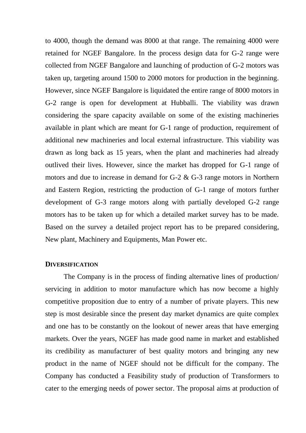to 4000, though the demand was 8000 at that range. The remaining 4000 were retained for NGEF Bangalore. In the process design data for G-2 range were collected from NGEF Bangalore and launching of production of G-2 motors was taken up, targeting around 1500 to 2000 motors for production in the beginning. However, since NGEF Bangalore is liquidated the entire range of 8000 motors in G-2 range is open for development at Hubballi. The viability was drawn considering the spare capacity available on some of the existing machineries available in plant which are meant for G-1 range of production, requirement of additional new machineries and local external infrastructure. This viability was drawn as long back as 15 years, when the plant and machineries had already outlived their lives. However, since the market has dropped for G-1 range of motors and due to increase in demand for G-2 & G-3 range motors in Northern and Eastern Region, restricting the production of G-1 range of motors further development of G-3 range motors along with partially developed G-2 range motors has to be taken up for which a detailed market survey has to be made. Based on the survey a detailed project report has to be prepared considering, New plant, Machinery and Equipments, Man Power etc.

#### **DIVERSIFICATION**

The Company is in the process of finding alternative lines of production/ servicing in addition to motor manufacture which has now become a highly competitive proposition due to entry of a number of private players. This new step is most desirable since the present day market dynamics are quite complex and one has to be constantly on the lookout of newer areas that have emerging markets. Over the years, NGEF has made good name in market and established its credibility as manufacturer of best quality motors and bringing any new product in the name of NGEF should not be difficult for the company. The Company has conducted a Feasibility study of production of Transformers to cater to the emerging needs of power sector. The proposal aims at production of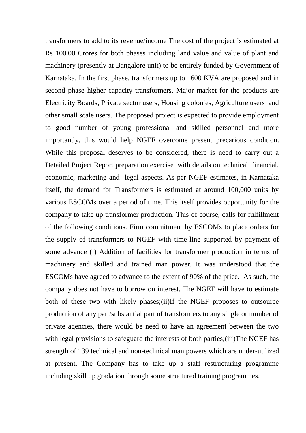transformers to add to its revenue/income The cost of the project is estimated at Rs 100.00 Crores for both phases including land value and value of plant and machinery (presently at Bangalore unit) to be entirely funded by Government of Karnataka. In the first phase, transformers up to 1600 KVA are proposed and in second phase higher capacity transformers. Major market for the products are Electricity Boards, Private sector users, Housing colonies, Agriculture users and other small scale users. The proposed project is expected to provide employment to good number of young professional and skilled personnel and more importantly, this would help NGEF overcome present precarious condition. While this proposal deserves to be considered, there is need to carry out a Detailed Project Report preparation exercise with details on technical, financial, economic, marketing and legal aspects. As per NGEF estimates, in Karnataka itself, the demand for Transformers is estimated at around 100,000 units by various ESCOMs over a period of time. This itself provides opportunity for the company to take up transformer production. This of course, calls for fulfillment of the following conditions. Firm commitment by ESCOMs to place orders for the supply of transformers to NGEF with time-line supported by payment of some advance (i) Addition of facilities for transformer production in terms of machinery and skilled and trained man power. It was understood that the ESCOMs have agreed to advance to the extent of 90% of the price. As such, the company does not have to borrow on interest. The NGEF will have to estimate both of these two with likely phases; (ii) If the NGEF proposes to outsource production of any part/substantial part of transformers to any single or number of private agencies, there would be need to have an agreement between the two with legal provisions to safeguard the interests of both parties;(iii)The NGEF has strength of 139 technical and non-technical man powers which are under-utilized at present. The Company has to take up a staff restructuring programme including skill up gradation through some structured training programmes.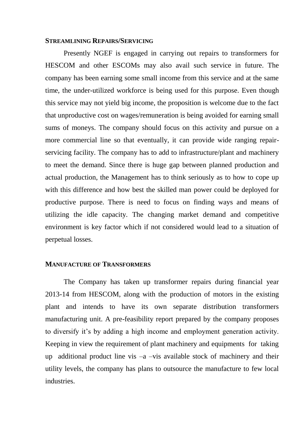#### **STREAMLINING REPAIRS/SERVICING**

Presently NGEF is engaged in carrying out repairs to transformers for HESCOM and other ESCOMs may also avail such service in future. The company has been earning some small income from this service and at the same time, the under-utilized workforce is being used for this purpose. Even though this service may not yield big income, the proposition is welcome due to the fact that unproductive cost on wages/remuneration is being avoided for earning small sums of moneys. The company should focus on this activity and pursue on a more commercial line so that eventually, it can provide wide ranging repairservicing facility. The company has to add to infrastructure/plant and machinery to meet the demand. Since there is huge gap between planned production and actual production, the Management has to think seriously as to how to cope up with this difference and how best the skilled man power could be deployed for productive purpose. There is need to focus on finding ways and means of utilizing the idle capacity. The changing market demand and competitive environment is key factor which if not considered would lead to a situation of perpetual losses.

#### **MANUFACTURE OF TRANSFORMERS**

The Company has taken up transformer repairs during financial year 2013-14 from HESCOM, along with the production of motors in the existing plant and intends to have its own separate distribution transformers manufacturing unit. A pre-feasibility report prepared by the company proposes to diversify it's by adding a high income and employment generation activity. Keeping in view the requirement of plant machinery and equipments for taking up additional product line vis  $-a$  –vis available stock of machinery and their utility levels, the company has plans to outsource the manufacture to few local industries.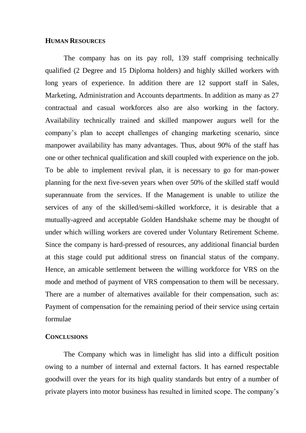#### **HUMAN RESOURCES**

The company has on its pay roll, 139 staff comprising technically qualified (2 Degree and 15 Diploma holders) and highly skilled workers with long years of experience. In addition there are 12 support staff in Sales, Marketing, Administration and Accounts departments. In addition as many as 27 contractual and casual workforces also are also working in the factory. Availability technically trained and skilled manpower augurs well for the company's plan to accept challenges of changing marketing scenario, since manpower availability has many advantages. Thus, about 90% of the staff has one or other technical qualification and skill coupled with experience on the job. To be able to implement revival plan, it is necessary to go for man-power planning for the next five-seven years when over 50% of the skilled staff would superannuate from the services. If the Management is unable to utilize the services of any of the skilled/semi-skilled workforce, it is desirable that a mutually-agreed and acceptable Golden Handshake scheme may be thought of under which willing workers are covered under Voluntary Retirement Scheme. Since the company is hard-pressed of resources, any additional financial burden at this stage could put additional stress on financial status of the company. Hence, an amicable settlement between the willing workforce for VRS on the mode and method of payment of VRS compensation to them will be necessary. There are a number of alternatives available for their compensation, such as: Payment of compensation for the remaining period of their service using certain formulae

# **CONCLUSIONS**

The Company which was in limelight has slid into a difficult position owing to a number of internal and external factors. It has earned respectable goodwill over the years for its high quality standards but entry of a number of private players into motor business has resulted in limited scope. The company's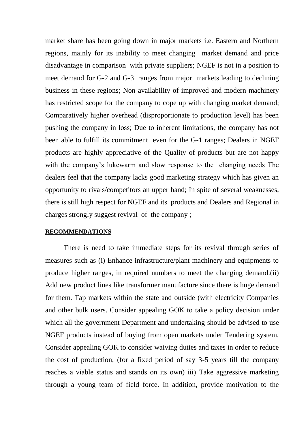market share has been going down in major markets i.e. Eastern and Northern regions, mainly for its inability to meet changing market demand and price disadvantage in comparison with private suppliers; NGEF is not in a position to meet demand for G-2 and G-3 ranges from major markets leading to declining business in these regions; Non-availability of improved and modern machinery has restricted scope for the company to cope up with changing market demand; Comparatively higher overhead (disproportionate to production level) has been pushing the company in loss; Due to inherent limitations, the company has not been able to fulfill its commitment even for the G-1 ranges; Dealers in NGEF products are highly appreciative of the Quality of products but are not happy with the company's lukewarm and slow response to the changing needs The dealers feel that the company lacks good marketing strategy which has given an opportunity to rivals/competitors an upper hand; In spite of several weaknesses, there is still high respect for NGEF and its products and Dealers and Regional in charges strongly suggest revival of the company ;

#### **RECOMMENDATIONS**

There is need to take immediate steps for its revival through series of measures such as (i) Enhance infrastructure/plant machinery and equipments to produce higher ranges, in required numbers to meet the changing demand.(ii) Add new product lines like transformer manufacture since there is huge demand for them. Tap markets within the state and outside (with electricity Companies and other bulk users. Consider appealing GOK to take a policy decision under which all the government Department and undertaking should be advised to use NGEF products instead of buying from open markets under Tendering system. Consider appealing GOK to consider waiving duties and taxes in order to reduce the cost of production; (for a fixed period of say 3-5 years till the company reaches a viable status and stands on its own) iii) Take aggressive marketing through a young team of field force. In addition, provide motivation to the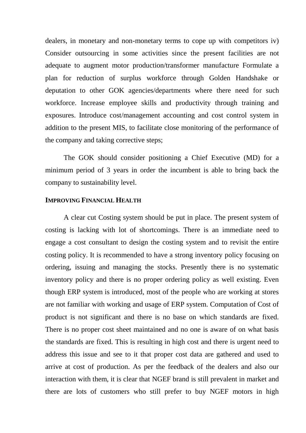dealers, in monetary and non-monetary terms to cope up with competitors iv) Consider outsourcing in some activities since the present facilities are not adequate to augment motor production/transformer manufacture Formulate a plan for reduction of surplus workforce through Golden Handshake or deputation to other GOK agencies/departments where there need for such workforce. Increase employee skills and productivity through training and exposures. Introduce cost/management accounting and cost control system in addition to the present MIS, to facilitate close monitoring of the performance of the company and taking corrective steps;

The GOK should consider positioning a Chief Executive (MD) for a minimum period of 3 years in order the incumbent is able to bring back the company to sustainability level.

# **IMPROVING FINANCIAL HEALTH**

A clear cut Costing system should be put in place. The present system of costing is lacking with lot of shortcomings. There is an immediate need to engage a cost consultant to design the costing system and to revisit the entire costing policy. It is recommended to have a strong inventory policy focusing on ordering, issuing and managing the stocks. Presently there is no systematic inventory policy and there is no proper ordering policy as well existing. Even though ERP system is introduced, most of the people who are working at stores are not familiar with working and usage of ERP system. Computation of Cost of product is not significant and there is no base on which standards are fixed. There is no proper cost sheet maintained and no one is aware of on what basis the standards are fixed. This is resulting in high cost and there is urgent need to address this issue and see to it that proper cost data are gathered and used to arrive at cost of production. As per the feedback of the dealers and also our interaction with them, it is clear that NGEF brand is still prevalent in market and there are lots of customers who still prefer to buy NGEF motors in high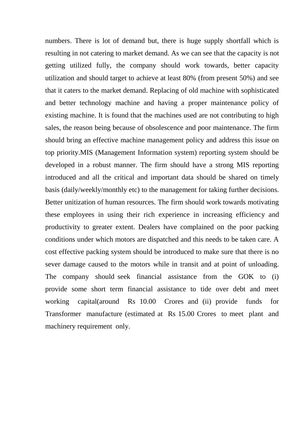numbers. There is lot of demand but, there is huge supply shortfall which is resulting in not catering to market demand. As we can see that the capacity is not getting utilized fully, the company should work towards, better capacity utilization and should target to achieve at least 80% (from present 50%) and see that it caters to the market demand. Replacing of old machine with sophisticated and better technology machine and having a proper maintenance policy of existing machine. It is found that the machines used are not contributing to high sales, the reason being because of obsolescence and poor maintenance. The firm should bring an effective machine management policy and address this issue on top priority.MIS (Management Information system) reporting system should be developed in a robust manner. The firm should have a strong MIS reporting introduced and all the critical and important data should be shared on timely basis (daily/weekly/monthly etc) to the management for taking further decisions. Better unitization of human resources. The firm should work towards motivating these employees in using their rich experience in increasing efficiency and productivity to greater extent. Dealers have complained on the poor packing conditions under which motors are dispatched and this needs to be taken care. A cost effective packing system should be introduced to make sure that there is no sever damage caused to the motors while in transit and at point of unloading. The company should seek financial assistance from the GOK to (i) provide some short term financial assistance to tide over debt and meet working capital(around Rs 10.00 Crores and (ii) provide funds for Transformer manufacture (estimated at Rs 15.00 Crores to meet plant and machinery requirement only.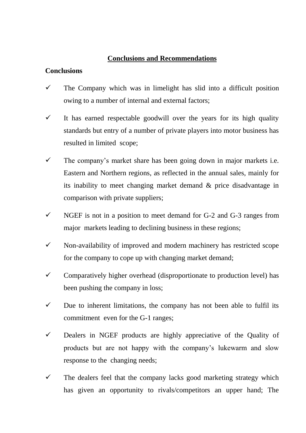# **Conclusions and Recommendations**

# **Conclusions**

- $\checkmark$  The Company which was in limelight has slid into a difficult position owing to a number of internal and external factors;
- $\checkmark$  It has earned respectable goodwill over the years for its high quality standards but entry of a number of private players into motor business has resulted in limited scope;
- $\checkmark$  The company's market share has been going down in major markets i.e. Eastern and Northern regions, as reflected in the annual sales, mainly for its inability to meet changing market demand & price disadvantage in comparison with private suppliers;
- $\checkmark$  NGEF is not in a position to meet demand for G-2 and G-3 ranges from major markets leading to declining business in these regions;
- $\checkmark$  Non-availability of improved and modern machinery has restricted scope for the company to cope up with changing market demand;
- $\checkmark$  Comparatively higher overhead (disproportionate to production level) has been pushing the company in loss;
- $\checkmark$  Due to inherent limitations, the company has not been able to fulfil its commitment even for the G-1 ranges;
- $\checkmark$  Dealers in NGEF products are highly appreciative of the Quality of products but are not happy with the company's lukewarm and slow response to the changing needs;
- $\checkmark$  The dealers feel that the company lacks good marketing strategy which has given an opportunity to rivals/competitors an upper hand; The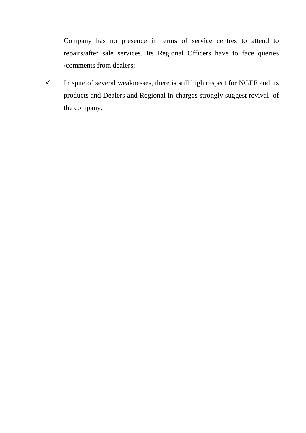Company has no presence in terms of service centres to attend to repairs/after sale services. Its Regional Officers have to face queries /comments from dealers;

 $\checkmark$  In spite of several weaknesses, there is still high respect for NGEF and its products and Dealers and Regional in charges strongly suggest revival of the company;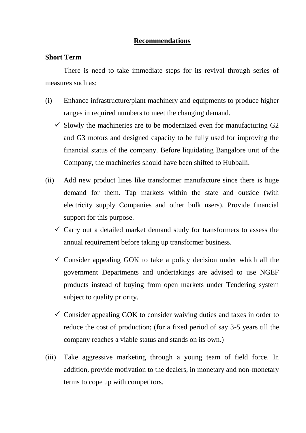# **Recommendations**

# **Short Term**

There is need to take immediate steps for its revival through series of measures such as:

- (i) Enhance infrastructure/plant machinery and equipments to produce higher ranges in required numbers to meet the changing demand.
	- $\checkmark$  Slowly the machineries are to be modernized even for manufacturing G2 and G3 motors and designed capacity to be fully used for improving the financial status of the company. Before liquidating Bangalore unit of the Company, the machineries should have been shifted to Hubballi.
- (ii) Add new product lines like transformer manufacture since there is huge demand for them. Tap markets within the state and outside (with electricity supply Companies and other bulk users). Provide financial support for this purpose.
	- $\checkmark$  Carry out a detailed market demand study for transformers to assess the annual requirement before taking up transformer business.
	- $\checkmark$  Consider appealing GOK to take a policy decision under which all the government Departments and undertakings are advised to use NGEF products instead of buying from open markets under Tendering system subject to quality priority.
	- $\checkmark$  Consider appealing GOK to consider waiving duties and taxes in order to reduce the cost of production; (for a fixed period of say 3-5 years till the company reaches a viable status and stands on its own.)
- (iii) Take aggressive marketing through a young team of field force. In addition, provide motivation to the dealers, in monetary and non-monetary terms to cope up with competitors.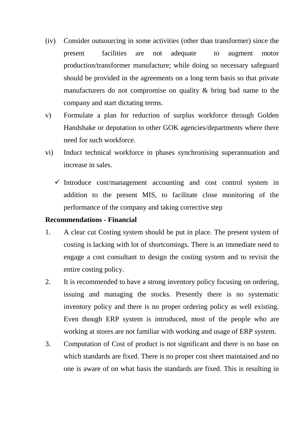- (iv) Consider outsourcing in some activities (other than transformer) since the present facilities are not adequate to augment motor production/transformer manufacture; while doing so necessary safeguard should be provided in the agreements on a long term basis so that private manufacturers do not compromise on quality & bring bad name to the company and start dictating terms.
- v) Formulate a plan for reduction of surplus workforce through Golden Handshake or deputation to other GOK agencies/departments where there need for such workforce.
- vi) Induct technical workforce in phases synchronising superannuation and increase in sales.
	- $\checkmark$  Introduce cost/management accounting and cost control system in addition to the present MIS, to facilitate close monitoring of the performance of the company and taking corrective step

# **Recommendations - Financial**

- 1. A clear cut Costing system should be put in place. The present system of costing is lacking with lot of shortcomings. There is an immediate need to engage a cost consultant to design the costing system and to revisit the entire costing policy.
- 2. It is recommended to have a strong inventory policy focusing on ordering, issuing and managing the stocks. Presently there is no systematic inventory policy and there is no proper ordering policy as well existing. Even though ERP system is introduced, most of the people who are working at stores are not familiar with working and usage of ERP system.
- 3. Computation of Cost of product is not significant and there is no base on which standards are fixed. There is no proper cost sheet maintained and no one is aware of on what basis the standards are fixed. This is resulting in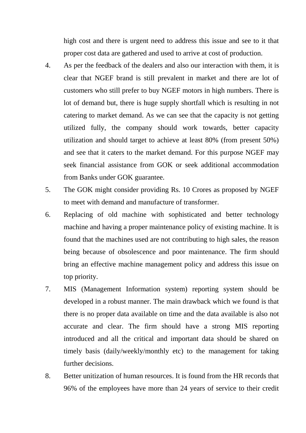high cost and there is urgent need to address this issue and see to it that proper cost data are gathered and used to arrive at cost of production.

- 4. As per the feedback of the dealers and also our interaction with them, it is clear that NGEF brand is still prevalent in market and there are lot of customers who still prefer to buy NGEF motors in high numbers. There is lot of demand but, there is huge supply shortfall which is resulting in not catering to market demand. As we can see that the capacity is not getting utilized fully, the company should work towards, better capacity utilization and should target to achieve at least 80% (from present 50%) and see that it caters to the market demand. For this purpose NGEF may seek financial assistance from GOK or seek additional accommodation from Banks under GOK guarantee.
- 5. The GOK might consider providing Rs. 10 Crores as proposed by NGEF to meet with demand and manufacture of transformer.
- 6. Replacing of old machine with sophisticated and better technology machine and having a proper maintenance policy of existing machine. It is found that the machines used are not contributing to high sales, the reason being because of obsolescence and poor maintenance. The firm should bring an effective machine management policy and address this issue on top priority.
- 7. MIS (Management Information system) reporting system should be developed in a robust manner. The main drawback which we found is that there is no proper data available on time and the data available is also not accurate and clear. The firm should have a strong MIS reporting introduced and all the critical and important data should be shared on timely basis (daily/weekly/monthly etc) to the management for taking further decisions.
- 8. Better unitization of human resources. It is found from the HR records that 96% of the employees have more than 24 years of service to their credit